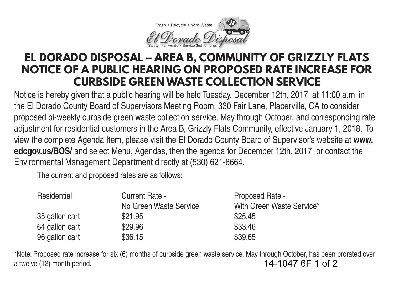

## **EL DORADO DISPOSAL – AREA B, COMMUNITY OF GRIZZLY FLATS NOTICE OF A PUBLIC HEARING ON PROPOSED RATE INCREASE FOR CURBSIDE GREEN WASTE COLLECTION SERVICE**

Notice is hereby given that a public hearing will be held Tuesday, December 12th, 2017, at 11:00 a.m. in the El Dorado County Board of Supervisors Meeting Room, 330 Fair Lane, Placerville, CA to consider proposed bi-weekly curbside green waste collection service, May through October, and corresponding rate adjustment for residential customers in the Area B, Grizzly Flats Community, effective January 1, 2018. To view the complete Agenda Item, please visit the El Dorado County Board of Supervisor's website at **www. edcgov.us/BOS/** and select Menu, Agendas, then the agenda for December 12th, 2017, or contact the Environmental Management Department directly at (530) 621-6664.

The current and proposed rates are as follows:

| Residential    | Current Rate -         | Proposed Rate -           |
|----------------|------------------------|---------------------------|
|                | No Green Waste Service | With Green Waste Service* |
| 35 gallon cart | \$21.95                | \$25.45                   |
| 64 gallon cart | \$29.96                | \$33.46                   |
| 96 gallon cart | \$36.15                | \$39.65                   |

\*Note: Proposed rate increase for six (6) months of curbside green waste service, May through October, has been prorated over a twelve (12) month period. 14-1047 6F 1 of 2